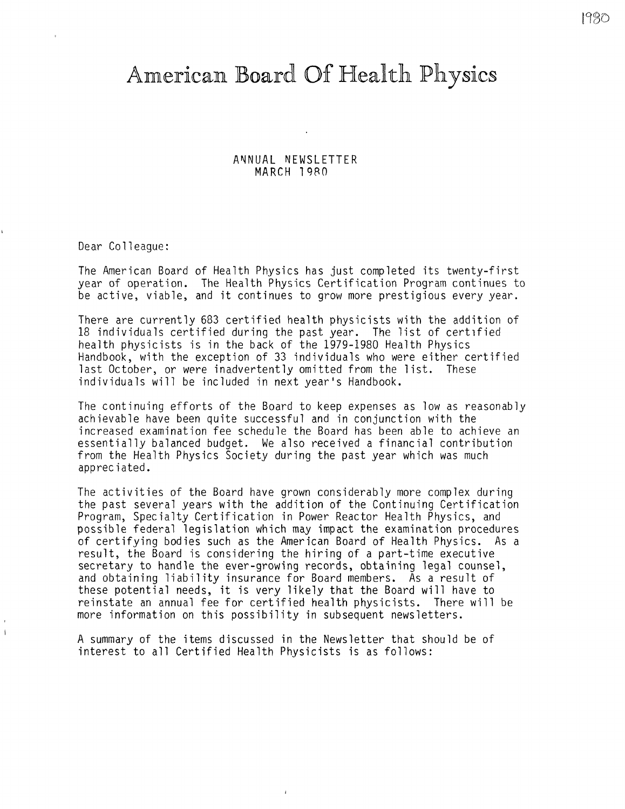# American Board Of Health Physics

ANNUAL NEWSLETTER **MARCH l 9RO** 

Dear Colleague:

 $\mathbf{I}$ 

The American Board of Health Physics has just completed its twenty-first year of operation. The Health Physics Certification Program continues to be active, viable, and it continues to grow more prestigious every year.

There are currently 683 certified health physicists with the addition of 18 individuals certified during the past year. The list of certified health physicists is in the back of the 1979-1980 Health Physics Handbook, with the exception of 33 individuals who were either certified last October, or were inadvertently omitted from the list. These individuals will be included in next year's Handbook.

The continuing efforts of the Board to keep expenses as low as reasonably achievable have been quite successful and in conjunction with the increased examination fee schedule the Board has been able to achieve an essentially balanced budget. We also received a financial contribution from the Health Physics Society during the past year which was much appreciated.

The activities of the Board have grown considerably more complex during the past several years with the addition of the Continuing Certification Program, Specialty Certification in Power Reactor Health Physics, and possible federal legislation which may impact the examination procedures of certifying bodies such as the American Board of Health Physics. As a result, the Board is considering the hiring of a part-time executive secretary to handle the ever-growing records, obtaining legal counsel, and obtaining liability insurance for Board members. As a result of these potential needs, it is very likely that the Board will have to reinstate an annual fee for certified health physicists. There will be more information on this possibility in subsequent newsletters.

A summary of the items discussed in the Newsletter that should be of interest to all Certified Health Physicists is as follows: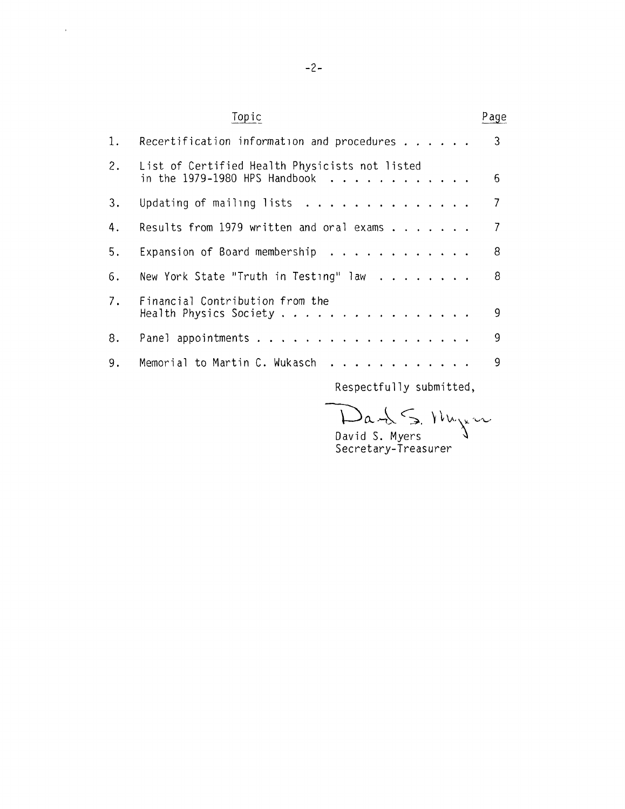|    | Topic                                                     | Page                       |
|----|-----------------------------------------------------------|----------------------------|
| 1. | Recertification information and procedures $\ldots$       | $\overline{\phantom{a}}$ 3 |
| 2. | List of Certified Health Physicists not listed            | 6                          |
| 3. | Updating of mailing lists $\ldots$                        | 7                          |
| 4. | Results from 1979 written and oral exams $\dots$          | 7                          |
| 5. | Expansion of Board membership $\cdots$                    | 8                          |
| 6. | New York State "Truth in Testing" law $\ldots$            | 8                          |
| 7. | Financial Contribution from the<br>Health Physics Society | 9                          |
| 8. |                                                           | 9                          |
| 9. | Memorial to Martin C. Wukasch                             | 9                          |
|    |                                                           |                            |

Respectfully submitted,

 $Da+b \leq N$ 

David S. Myers  $\sqrt{ }$ Secretary-Treasurer

 $\mathcal{A}^{\pm}$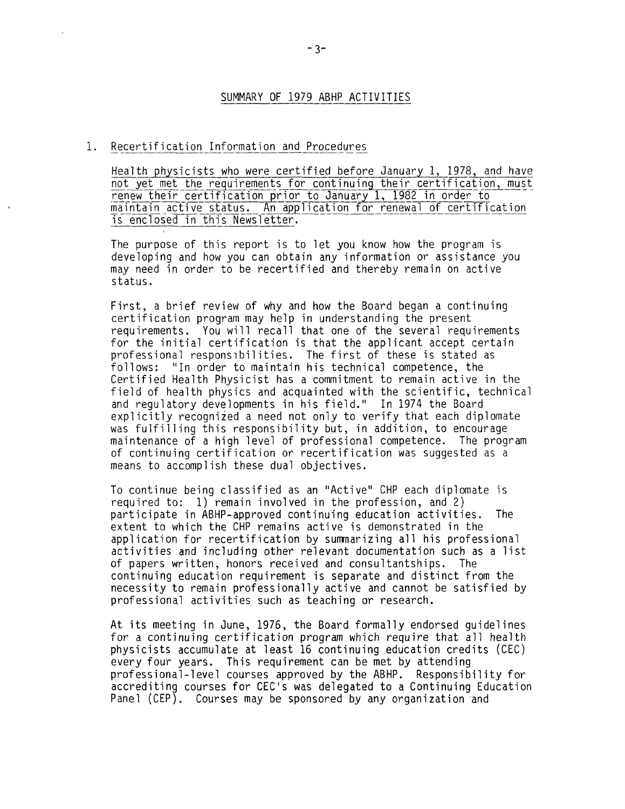## SUMMARY OF 1979 ABHP ACTIVITIES

#### 1. Recertification Information and Procedures

Health physicists who were certified before January 1, 1978, and have not yet met the requirements for continuing their certification, must renew their certification prior to January 1, 1982 in order to maintain active status. An application for renewal of certification is enclosed in this Newsletter.

The purpose of this report is to let you know how the program is developing and how you can obtain any information or assistance you may need in order to be recertified and thereby remain on active status.

First, a brief review of why and how the Board began a continuing certification program may help in understanding the present requirements. You will recall that one of the several requirements for the initial certification is that the applicant accept certain professional responsibilities. The first of these is stated as follows: "In order to maintain his technical competence, the Certified Health Physicist has a commitment to remain active in the field of health physics and acquainted with the scientific, technical and regulatory developments in his field." In 1974 the Board explicitly recognized a need not only to verify that each diplomate was fulfilling this responsibility but, in addition, to encourage maintenance of a high level of professional competence. The program of continuing certification or recertification was suggested as a means to accomplish these dual objectives.

To continue being classified as an "Active" CHP each diplomate is required to: 1) remain involved in the profession, and 2) participate in ABHP-approved continuing education activities. The extent to which the CHP remains active is demonstrated in the application for recertification by sunrnarizing all his professional activities and including other relevant documentation such as a list of papers written, honors received and consultantships. The continuing education requirement is separate and distinct from the necessity to remain professionally active and cannot be satisfied by professional activities such as teaching or research.

At its meeting in June, 1976, the Board formally endorsed guidelines for a continuing certification program which require that all health physicists accumulate at least 16 continuing education credits (CEC) every four years. This requirement can be met by attending professional-level courses approved by the ABHP. Responsibility for accrediting courses for CEC's was delegated to a Continuing Education Panel (CEP). Courses may be sponsored by any organization and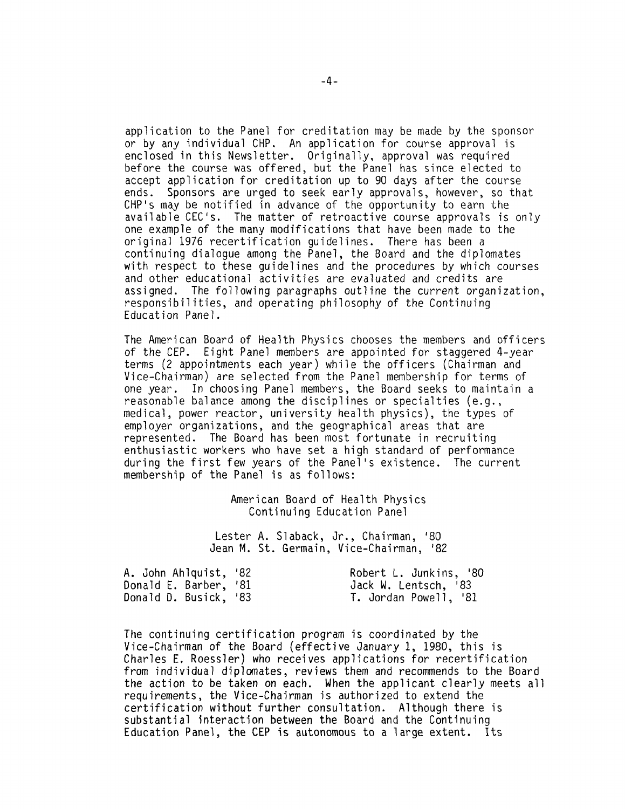application to the Panel for creditation may be made by the sponsor or by any individual CHP. An application for course approval is enclosed in this Newsletter. Originally, approval was required before the course was offered, but the Panel has since elected to accept application for creditation up to 90 days after the course ends. Sponsors are urged to seek early approvals, however, so that CHP's may be notified in advance of the opportunity to earn the available CEC's. The matter of retroactive course approvals is only one example of the many modifications that have been made to the original 1976 recertification guidelines. There has been a continuing dialogue among the Panel, the Board and the diplomates with respect to these guidelines and the procedures by which courses and other educational activities are evaluated and credits are assigned. The following paragraphs outline the current organization, responsibilities, and operating philosophy of the Continuing Education Panel.

The American Board of Health Physics chooses the members and officers of the CEP. Eight Panel members are appointed for staggered 4-year terms (2 appointments each year) while the officers (Chairman and Vice-Chairman) are selected from the Panel membership for terms of one year. In choosing Panel members, the Board seeks to maintain a reasonable balance among the disciplines or specialties (e.g., medical, power reactor, university health physics), the types of employer organizations, and the geographical areas that are represented. The Board has been most fortunate in recruiting enthusiastic workers who have set a high standard of performance during the first few years of the Panel's existence. The current membership of the Panel is as follows:

> American Board of Health Physics Continuing Education Panel

Lester A. Slaback, Jr., Chairman, 1 80 Jean M. St. Germain, Vice-Chairman, 1 82

| A. John Ahlquist, '82 | Robert L. Junkins, '80 |
|-----------------------|------------------------|
| Donald E. Barber, '81 | Jack W. Lentsch, '83   |
| Donald D. Busick, '83 | T. Jordan Powell, '81  |

The continuing certification program is coordinated by the Vice-Chairman of the Board (effective January 1, 1980, this is Charles E. Roessler) who receives applications for recertification from individual diplomates, reviews them and recommends to the Board the action to be taken on each. When the applicant clearly meets all requirements, the Vice-Chairman is authorized to extend the certification without further consultation. Although there is substantial interaction between the Board and the Continuing Education Panel, the CEP is autonomous to a large extent. Its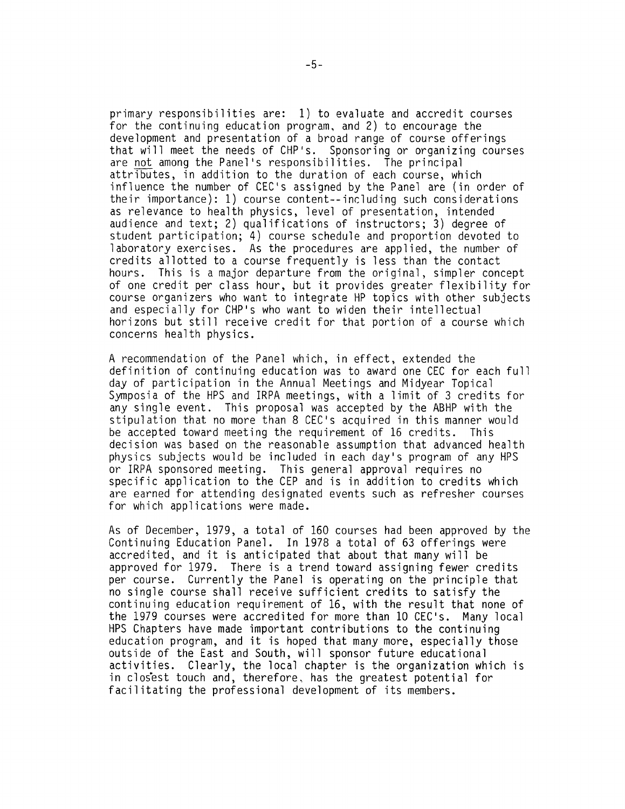primary responsibilities are: 1) to evaluate and accredit courses for the continuing education program, and 2) to encourage the development and presentation of a broad range of course offerings that will meet the needs of CHP's. Sponsoring or organizing courses are not among the Panel's responsibilities. The principal attributes, in addition to the duration of each course, which influence the number of CEC's assigned by the Panel are (in order of their importance): 1) course content--including such considerations as relevance to health physics, level of presentation, intended audience and text; 2) qualifications of instructors; 3) degree of student participation; 4) course schedule and proportion devoted to laboratory exercises. As the procedures are applied, the number of credits allotted to a course frequently is less than the contact hours. This is a major departure from the original, simpler concept of one credit per class hour, but it provides greater flexibility for course organizers who want to integrate HP topics with other subjects and especially for CHP's who want to widen their intellectual horizons but still receive credit for that portion of a course which concerns health physics.

A recommendation of the Panel which, in effect, extended the definition of continuing education was to award one CEC for each full day of participation in the Annual Meetings and Midyear Topical Symposia of the HPS and IRPA meetings, with a limit of 3 credits for any single event. This proposal was accepted by the ABHP with the stipulation that no more than 8 CEC's acquired in this manner would<br>be accepted toward meeting the requirement of 16 credits. This be accepted toward meeting the requirement of 16 credits. decision was based on the reasonable assumption that advanced health physics subjects would be included in each day's program of any HPS or IRPA sponsored meeting. This general approval requires no specific application to the CEP and is in addition to credits which are earned for attending designated events such as refresher courses for which applications were made.

As of December, 1979, a total of 160 courses had been approved by the Continuing Education Panel. In 1978 a total of 63 offerings were accredited, and it is anticipated that about that many will be approved for 1979. There is a trend toward assigning fewer credits per course. Currently the Panel is operating on the principle that no single course shall receive sufficient credits to satisfy the continuing education requirement of 16, with the result that none of the 1979 courses were accredited for more than 10 CEC's. Many local HPS Chapters have made important contributions to the continuing education program, and it is hoped that many more, especially those outside of the East and South, will sponsor future educational activities. Clearly, the local chapter is the organization which is in closest touch and, therefore, has the greatest potential for facilitating the professional development of its members.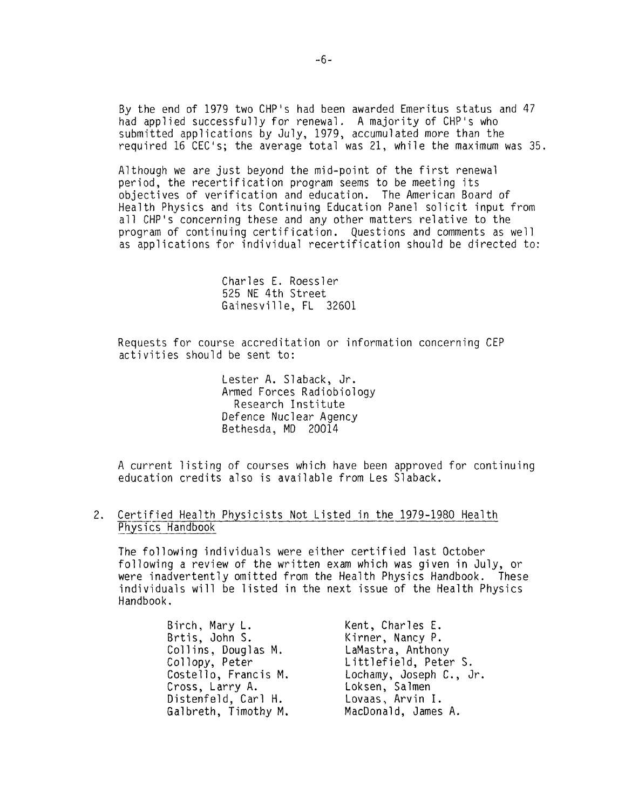By the end of 1979 two CHP's had been awarded Emeritus status and 47 had applied successfully for renewal. A majority of CHP's who submitted applications by July, 1979, accumulated more than the required 16 CEC's; the average total was 21, while the maximum was 35.

Although we are just beyond the mid-point of the first renewal period, the recertification program seems to be meeting its objectives of verification and education. The American Board of Health Physics and its Continuing Education Panel solicit input from all CHP's concerning these and any other matters relative to the program of continuing certification. Questions and comments as well as applications for individual recertification should be directed to:

> Charles E. Roessler 525 NE 4th Street Gainesville, FL 32601

Requests for course accreditation or information concerning CEP activities should be sent to:

> Lester A. Slaback, Jr. Armed Forces Radiobiology Research Institute Defence Nuclear Agency Bethesda, MD 20014

A current listing of courses which have been approved for continuing education credits also is available from Les Slaback.

## 2. Certified Health Physicists Not Listed in the 1979-1980 Health Physics Handbook

The following individuals were either certified last October following a review of the written exam which was given in July, or were inadvertently omitted from the Health Physics Handbook. These individuals will be listed in the next issue of the Health Physics Handbook.

| Birch, Mary L.       | Kent, Charles E.        |
|----------------------|-------------------------|
| Brtis, John S.       | Kirner, Nancy P.        |
| Collins, Douglas M.  | LaMastra, Anthony       |
| Collopy, Peter       | Littlefield, Peter S.   |
| Costello, Francis M. | Lochamy, Joseph C., Jr. |
| Cross, Larry A.      | Loksen, Salmen          |
| Distenfeld, Carl H.  | Lovaas, Arvin I.        |
| Galbreth, Timothy M. | MacDonald, James A.     |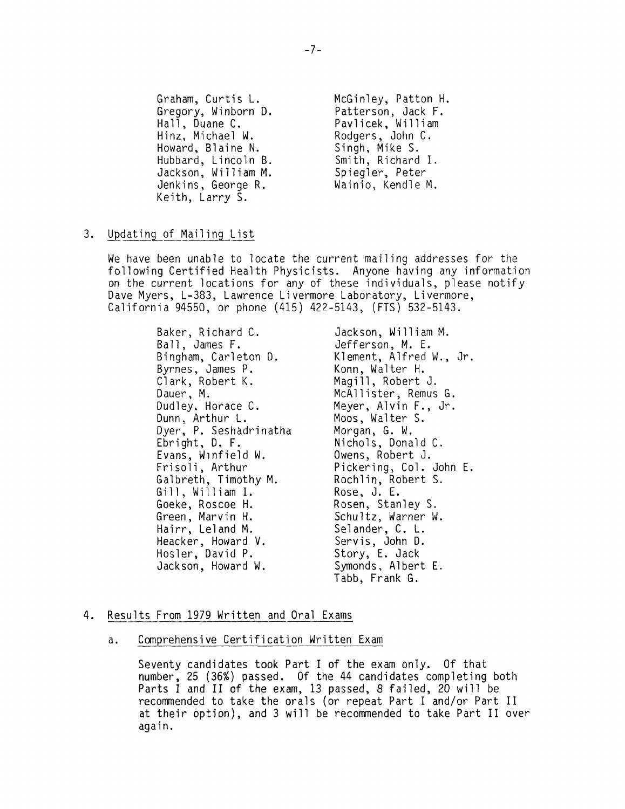Graham, Curtis L. Gregory, Winborn D. Hall, Duane C. Hinz, Michael W. Howard, Blaine N. Hubbard, Lincoln B. Jackson, William M. Jenkins, George R. Keith, Larry S.

McGinley, Patton H. Patterson, Jack F. Pavlicek, William Rodgers, John C. Singh, Mike S. Smith, Richard I. Spiegler, Peter Wainio, Kendle M.

## 3. Updating\_of Mailing List

We have been unable to locate the current mailing addresses for the following Certified Health Physicists. Anyone having any information on the current locations for any of these individuals, please notify Dave Myers, L-383, Lawrence Livermore Laboratory, Livermore, California 94550, or phone (415) 422-5143, (FTS) 532-5143.

> Baker, Richard C. Ball, James F. Bingham, Carleton D. Byrnes, James P. Clark, Robert K. Dauer, M. Dudley. Horace C. Dunn, Arthur L. Dyer, P. Seshadrinatha Ebright, D. F. Evans, Winfield W. Frisoli, Arthur Galbreth, Timothy M. Gill, William I. Goeke, Roscoe H. Green, Marvin H. Hairr, Leland M. Heacker, Howard V. Hosler, David P. Jackson, Howard W.

Jackson, William M. Jefferson, M. E. Klement, Alfred W., Jr. Konn, Walter H. Magill, Robert J. McAllister, Remus G. Meyer, Alvin F., Jr. Moos, Walter S. Morgan, G. W. Nichols, Donald C. Owens, Robert J. Pickering, Col. John E. Rochlin, Robert S. Rose, J. E. Rosen, Stanley S. Schultz, Warner W. Selander, C. L. Servis, John D. Story, E. Jack Symonds, Albert E. Tabb, Frank G.

## 4. Results From 1979 Written and Oral Exams

a. Comprehensive Certification Written Exam

Seventy candidates took Part I of the exam only. Of that number, 25 (36%) passed. Of the 44 candidates completing both Parts I and II of the exam, 13 passed, 8 failed, 20 will be recommended to take the orals (or repeat Part I and/or Part II at their option), and 3 will be recommended to take Part II over again.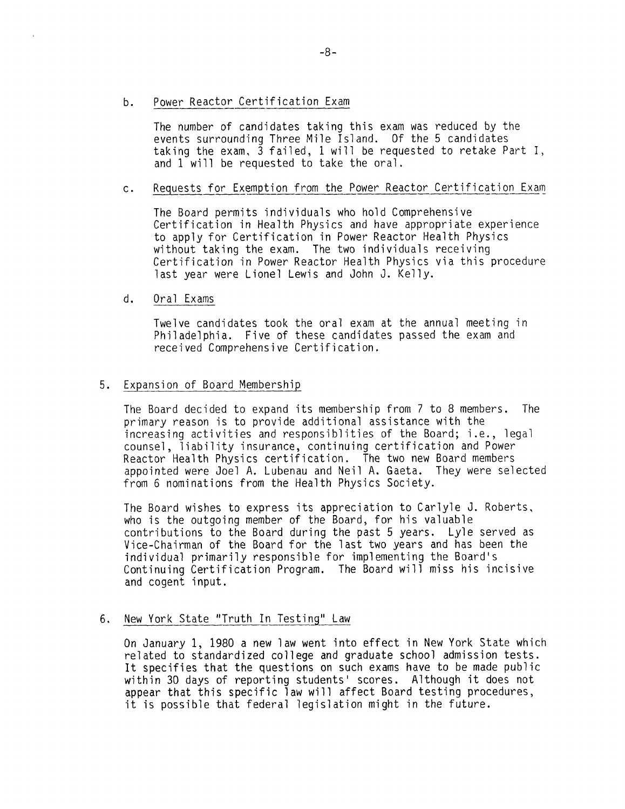b. Power Reactor Certification Exam

The number of candidates taking this exam was reduced by the events surrounding Three Mile Island. Of the 5 candidates taking the exam, 3 failed, 1 will be requested to retake Part I, and 1 will be requested to take the oral.

## c. Requests for Exemption from the Power Reactor Certification Exam

The Board permits individuals who hold Comprehensive Certification in Health Physics and have appropriate experience to apply for Certification in Power Reactor Health Physics without taking the exam. The two individuals receiving Certification in Power Reactor Health Physics via this procedure last year were Lionel Lewis and John J. Kelly.

## d. Oral Exams

Twelve candidates took the oral exam at the annual meeting in Philadelphia. Five of these candidates passed the exam and received Comprehensive Certification.

## 5. Expansion of Board Membership

The Board decided to expand its membership from 7 to 8 members. The primary reason is to provide additional assistance with the increasing activities and responsiblities of the Board; i.e., legal counsel, liability insurance, continuing certification and Power Reactor Health Physics certification. The two new Board members appointed were Joel A. Lubenau and Neil A. Gaeta. They were selected from 6 nominations from the Health Physics Society.

The Board wishes to express its appreciation to Carlyle J. Roberts, who is the outgoing member of the Board, for his valuable contributions to the Board during the past 5 years. Lyle served as Vice-Chairman of the Board for the last two years and has been the individual primarily responsible for implementing the Board's Continuing Certification Program. The Board will miss his incisive and cogent input.

## 6. New York State "Truth In Testing" Law

On January 1, 1980 a new law went into effect in New York State which related to standardized college and graduate school admission tests. It specifies that the questions on such exams have to be made public within 30 days of reporting students' scores. Although it does not appear that this specific law will affect Board testing procedures, it is possible that federal legislation might in the future.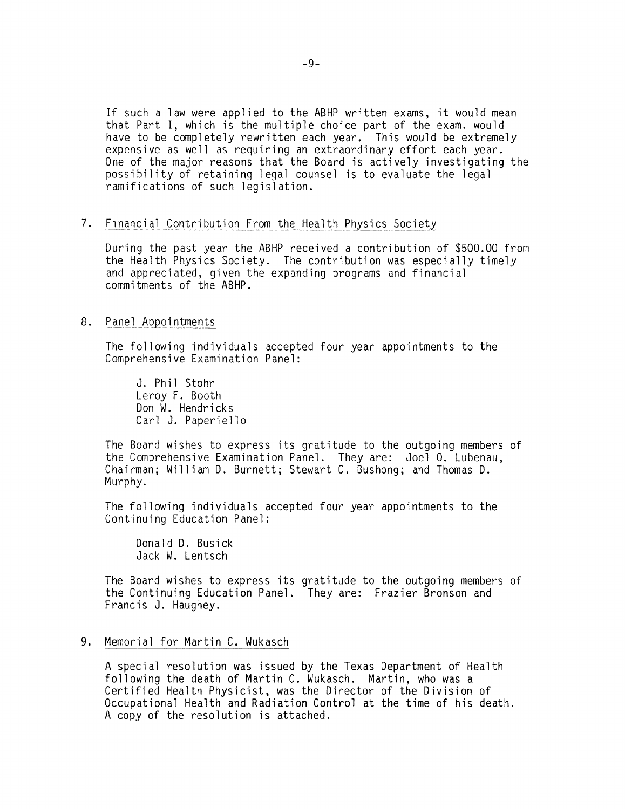If such a law were applied to the ABHP written exams, it would mean that Part I, which is the multiple choice part of the exam, would have to be completely rewritten each year. This would be extremely expensive as well as requiring an extraordinary effort each year. One of the major reasons that the Board is actively investigating the possibility of retaining legal counsel is to evaluate the legal ramifications of such legislation.

## 7. Financial Contribution From the Health Physics Society

During the past year the ABHP received a contribution of \$500.00 from the Health Physics Society. The contribution was especially timely and appreciated, given the expanding programs and financial commitments of the ABHP.

## 8. Panel Appointments

The following individuals accepted four year appointments to the Comprehensive Examination Panel:

J. Phil Stohr Leroy F. Booth Don W. Hendricks Carl J. Paperiello

The Board wishes to express its gratitude to the outgoing members of the Comprehensive Examination Panel. They are: Joel 0. Lubenau, Chairman; William D. Burnett; Stewart C. Bushong; and Thomas D. Murphy.

The following individuals accepted four year appointments to the Continuing Education Panel:

Donald D. Busick Jack W. Lentsch

The Board wishes to express its gratitude to the outgoing members of the Continuing Education Panel. They are: Frazier Bronson and Francis J. Haughey.

## 9. Memorial for Martin C. Wukasch

A special resolution was issued by the Texas Department of Health following the death of Martin C. Wukasch. Martin, who was a Certified Health Physicist, was the Director of the Division of Occupational Health and Radiation Control at the time of his death. A copy of the resolution is attached.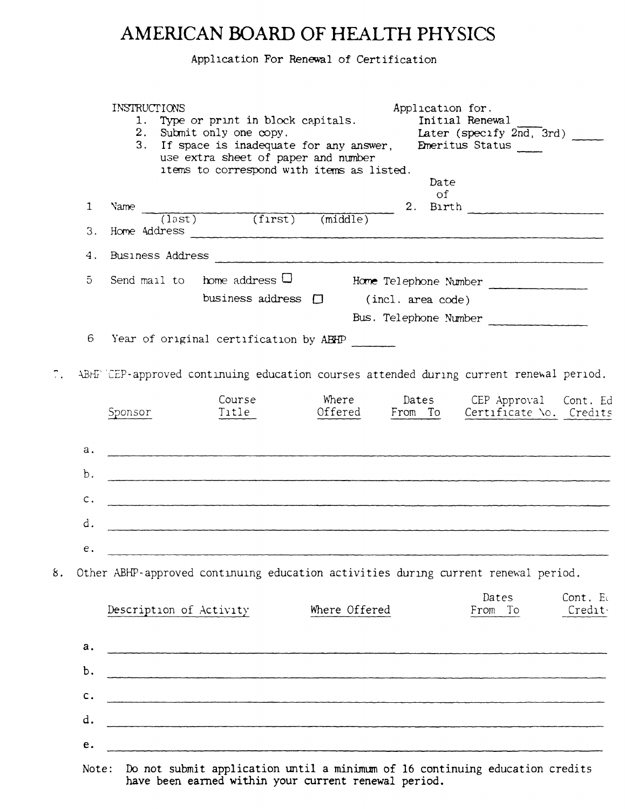## **AMERICAN BOARD OF HEALTH PHYSICS**

Application For Renewal of Certification

| Date<br>of<br>2.<br>Birth<br>1<br>Name<br>$(1)$ $(1)$ $(1)$ $(1)$ $(2)$ $(2)$ $(2)$ $(3)$ $(3)$ $(4)$ $(5)$ $(5)$ $(7)$ $(8)$ $(8)$ $(9)$ $(1)$ $(1)$ $(1)$ $(1)$ $(1)$ $(1)$ $(1)$ $(1)$ $(1)$ $(1)$ $(1)$ $(1)$ $(1)$ $(1)$ $(1)$ $(1)$ $(1)$ $(1)$ $(1)$ $(1)$ $(1)$<br><u> 1989 - Jan Barnett, mars et al.</u><br>3.<br><b>Business Address</b><br>4.<br>home address $\Box$<br>$\overline{5}$<br>Send mail to<br>Home Telephone Number<br>business address $\Box$<br>(incl. area code)<br>Bus. Telephone Number<br>6<br>Year of original certification by ABHP<br>ABHF CEP-approved continuing education courses attended during current renewal period.<br>Course<br>Where<br>Sponsor<br>Title<br>Offered<br>а.<br>b.<br>с.<br>d.<br>e.<br>Other ABHP-approved continuing education activities during current renewal period.<br>Dates<br>Where Offered<br>Description of Activity<br>From To<br>а.<br>b.<br>c.<br>d.<br>e. |  | INSTRUCTIONS<br>Application for.<br>1. Type or print in block capitals.<br>Initial Renewal<br>2. Submit only one copy.<br>Later (specify $2nd$ , $3rd$ )<br>3. If space is inadequate for any answer,<br>Emeritus Status<br>use extra sheet of paper and number<br>items to correspond with items as listed. |
|-----------------------------------------------------------------------------------------------------------------------------------------------------------------------------------------------------------------------------------------------------------------------------------------------------------------------------------------------------------------------------------------------------------------------------------------------------------------------------------------------------------------------------------------------------------------------------------------------------------------------------------------------------------------------------------------------------------------------------------------------------------------------------------------------------------------------------------------------------------------------------------------------------------------------------------|--|--------------------------------------------------------------------------------------------------------------------------------------------------------------------------------------------------------------------------------------------------------------------------------------------------------------|
|                                                                                                                                                                                                                                                                                                                                                                                                                                                                                                                                                                                                                                                                                                                                                                                                                                                                                                                                   |  |                                                                                                                                                                                                                                                                                                              |
|                                                                                                                                                                                                                                                                                                                                                                                                                                                                                                                                                                                                                                                                                                                                                                                                                                                                                                                                   |  |                                                                                                                                                                                                                                                                                                              |
|                                                                                                                                                                                                                                                                                                                                                                                                                                                                                                                                                                                                                                                                                                                                                                                                                                                                                                                                   |  |                                                                                                                                                                                                                                                                                                              |
|                                                                                                                                                                                                                                                                                                                                                                                                                                                                                                                                                                                                                                                                                                                                                                                                                                                                                                                                   |  |                                                                                                                                                                                                                                                                                                              |
|                                                                                                                                                                                                                                                                                                                                                                                                                                                                                                                                                                                                                                                                                                                                                                                                                                                                                                                                   |  |                                                                                                                                                                                                                                                                                                              |
|                                                                                                                                                                                                                                                                                                                                                                                                                                                                                                                                                                                                                                                                                                                                                                                                                                                                                                                                   |  |                                                                                                                                                                                                                                                                                                              |
|                                                                                                                                                                                                                                                                                                                                                                                                                                                                                                                                                                                                                                                                                                                                                                                                                                                                                                                                   |  |                                                                                                                                                                                                                                                                                                              |
|                                                                                                                                                                                                                                                                                                                                                                                                                                                                                                                                                                                                                                                                                                                                                                                                                                                                                                                                   |  |                                                                                                                                                                                                                                                                                                              |
| 8.                                                                                                                                                                                                                                                                                                                                                                                                                                                                                                                                                                                                                                                                                                                                                                                                                                                                                                                                |  |                                                                                                                                                                                                                                                                                                              |
|                                                                                                                                                                                                                                                                                                                                                                                                                                                                                                                                                                                                                                                                                                                                                                                                                                                                                                                                   |  | Dates CEP Approval Cont. Ed<br>From To Certificate \o. Credits                                                                                                                                                                                                                                               |
|                                                                                                                                                                                                                                                                                                                                                                                                                                                                                                                                                                                                                                                                                                                                                                                                                                                                                                                                   |  |                                                                                                                                                                                                                                                                                                              |
|                                                                                                                                                                                                                                                                                                                                                                                                                                                                                                                                                                                                                                                                                                                                                                                                                                                                                                                                   |  |                                                                                                                                                                                                                                                                                                              |
|                                                                                                                                                                                                                                                                                                                                                                                                                                                                                                                                                                                                                                                                                                                                                                                                                                                                                                                                   |  |                                                                                                                                                                                                                                                                                                              |
|                                                                                                                                                                                                                                                                                                                                                                                                                                                                                                                                                                                                                                                                                                                                                                                                                                                                                                                                   |  |                                                                                                                                                                                                                                                                                                              |
|                                                                                                                                                                                                                                                                                                                                                                                                                                                                                                                                                                                                                                                                                                                                                                                                                                                                                                                                   |  |                                                                                                                                                                                                                                                                                                              |
|                                                                                                                                                                                                                                                                                                                                                                                                                                                                                                                                                                                                                                                                                                                                                                                                                                                                                                                                   |  |                                                                                                                                                                                                                                                                                                              |
|                                                                                                                                                                                                                                                                                                                                                                                                                                                                                                                                                                                                                                                                                                                                                                                                                                                                                                                                   |  |                                                                                                                                                                                                                                                                                                              |
|                                                                                                                                                                                                                                                                                                                                                                                                                                                                                                                                                                                                                                                                                                                                                                                                                                                                                                                                   |  | Cont. Ed<br>Credit                                                                                                                                                                                                                                                                                           |
|                                                                                                                                                                                                                                                                                                                                                                                                                                                                                                                                                                                                                                                                                                                                                                                                                                                                                                                                   |  |                                                                                                                                                                                                                                                                                                              |
|                                                                                                                                                                                                                                                                                                                                                                                                                                                                                                                                                                                                                                                                                                                                                                                                                                                                                                                                   |  |                                                                                                                                                                                                                                                                                                              |
|                                                                                                                                                                                                                                                                                                                                                                                                                                                                                                                                                                                                                                                                                                                                                                                                                                                                                                                                   |  |                                                                                                                                                                                                                                                                                                              |
|                                                                                                                                                                                                                                                                                                                                                                                                                                                                                                                                                                                                                                                                                                                                                                                                                                                                                                                                   |  |                                                                                                                                                                                                                                                                                                              |
|                                                                                                                                                                                                                                                                                                                                                                                                                                                                                                                                                                                                                                                                                                                                                                                                                                                                                                                                   |  |                                                                                                                                                                                                                                                                                                              |
|                                                                                                                                                                                                                                                                                                                                                                                                                                                                                                                                                                                                                                                                                                                                                                                                                                                                                                                                   |  |                                                                                                                                                                                                                                                                                                              |

have been earned within your current renewal period.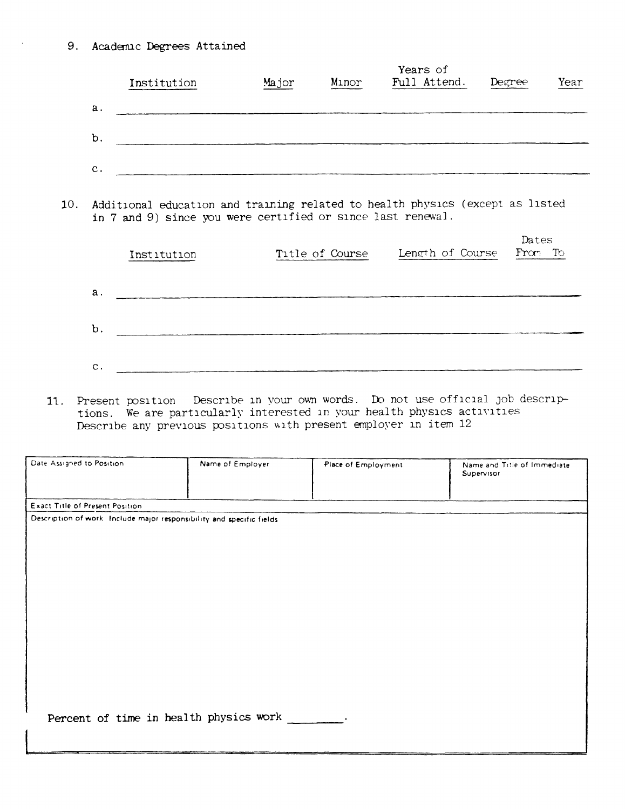9. Academic Degrees Attained

|     |                |                                                                                                                                              |                                                                                              |                 | Years of         |                  |      |
|-----|----------------|----------------------------------------------------------------------------------------------------------------------------------------------|----------------------------------------------------------------------------------------------|-----------------|------------------|------------------|------|
|     |                | Institution                                                                                                                                  | Major                                                                                        | Minor           | Full Attend.     | Degree           | Year |
|     | a.             |                                                                                                                                              |                                                                                              |                 |                  |                  |      |
|     | b.             |                                                                                                                                              |                                                                                              |                 |                  |                  |      |
|     | $\mathbf{c}$ . | and the control of the control of the control of the control of the control of the control of the control of the                             |                                                                                              |                 |                  |                  |      |
| 10. |                | Additional education and training related to health physics (except as listed<br>in 7 and 9) since you were certified or since last renewal. |                                                                                              |                 |                  |                  |      |
|     |                | Institution                                                                                                                                  |                                                                                              | Title of Course | Length of Course | Dates<br>From To |      |
|     | $a$ .          | 이 사진 사진 사진 사진 사진 사진 사진 사진 사진 사진 사진 사진 사진                                                                                                     |                                                                                              |                 |                  |                  |      |
|     |                |                                                                                                                                              |                                                                                              |                 |                  |                  |      |
|     | b.             |                                                                                                                                              | <u> 1980 - Jan Salam Barat, manazarta da kasas da shekara 1980 - André a Salam Barat, ma</u> |                 |                  |                  |      |

11. Present position Describe in your own words. Do not use official job descriptions. We are particularly interested in your health physics activities<br>Describe any previous positions with present employer in item 12

| Date Assigned to Position.                                            | Name of Employer                       | Place of Employment | Name and Title of Immediate<br>Supervisor |
|-----------------------------------------------------------------------|----------------------------------------|---------------------|-------------------------------------------|
| Exact Title of Present Position.                                      |                                        |                     |                                           |
| Description of work. Include major responsibility and specific fields |                                        |                     |                                           |
|                                                                       |                                        |                     |                                           |
|                                                                       |                                        |                     |                                           |
|                                                                       |                                        |                     |                                           |
|                                                                       |                                        |                     |                                           |
|                                                                       |                                        |                     |                                           |
|                                                                       |                                        |                     |                                           |
|                                                                       |                                        |                     |                                           |
|                                                                       |                                        |                     |                                           |
|                                                                       |                                        |                     |                                           |
|                                                                       |                                        |                     |                                           |
|                                                                       |                                        |                     |                                           |
|                                                                       | Percent of time in health physics work |                     |                                           |
|                                                                       |                                        |                     |                                           |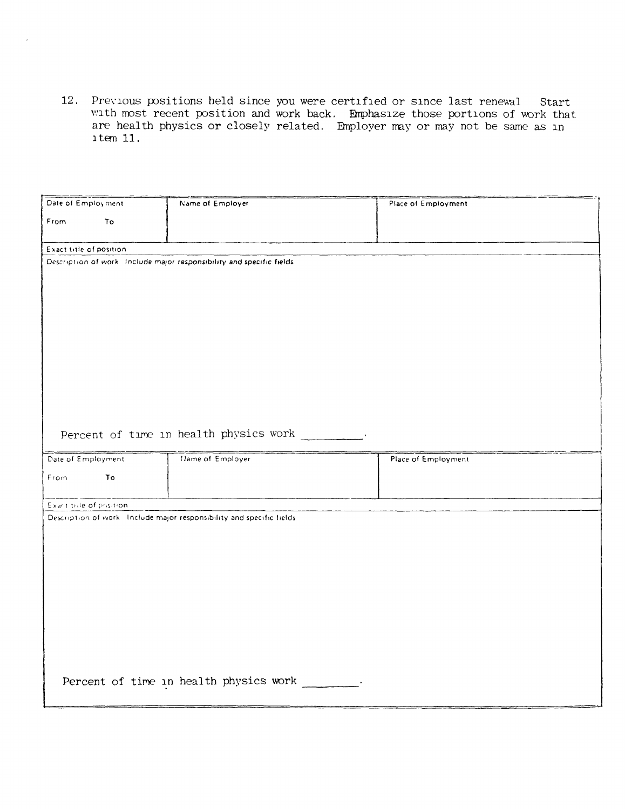12. Previous positions held since you were certified or since last renewal Start with most recent position and work back. Emphasize those portions of work that are health physics or closely related. Employer may or may not be same as in  $item 11.$ 

| Date of Employment       |    | Name of Employer                                                       | Place of Employment |
|--------------------------|----|------------------------------------------------------------------------|---------------------|
| From                     | To |                                                                        |                     |
|                          |    |                                                                        |                     |
|                          |    |                                                                        |                     |
| Exact title of position  |    | Description of work. Include major responsibility and specific fields. |                     |
|                          |    |                                                                        |                     |
|                          |    |                                                                        |                     |
|                          |    |                                                                        |                     |
|                          |    |                                                                        |                     |
|                          |    |                                                                        |                     |
|                          |    |                                                                        |                     |
|                          |    |                                                                        |                     |
|                          |    |                                                                        |                     |
|                          |    |                                                                        |                     |
|                          |    |                                                                        |                     |
|                          |    |                                                                        |                     |
|                          |    |                                                                        |                     |
|                          |    | Percent of time in health physics work                                 |                     |
|                          |    |                                                                        |                     |
|                          |    |                                                                        |                     |
| Date of Employment       |    | Name of Employer                                                       | Place of Employment |
|                          |    |                                                                        |                     |
| From                     | To |                                                                        |                     |
|                          |    |                                                                        |                     |
| Exact tille of position. |    |                                                                        |                     |
|                          |    | Description of work. Include major responsibility and specific fields. |                     |
|                          |    |                                                                        |                     |
|                          |    |                                                                        |                     |
|                          |    |                                                                        |                     |
|                          |    |                                                                        |                     |
|                          |    |                                                                        |                     |
|                          |    |                                                                        |                     |
|                          |    |                                                                        |                     |
|                          |    |                                                                        |                     |
|                          |    |                                                                        |                     |
|                          |    |                                                                        |                     |
|                          |    |                                                                        |                     |
|                          |    | Percent of time in health physics work                                 |                     |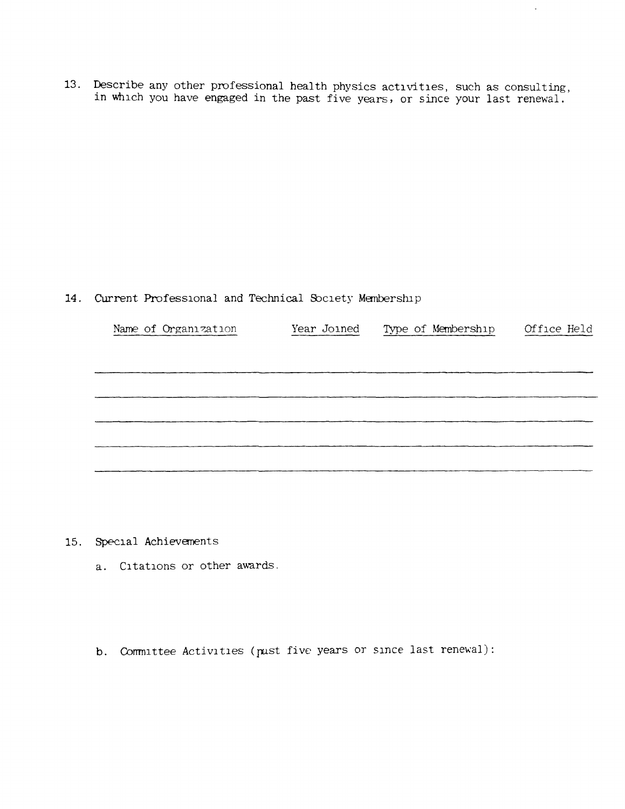13. Describe any other professional health physics activities, such as consulting, in which you have engaged in the past five years, or since your last renewal.

## 14. Current Professional and Technical Society Membership

| Name of Organization | Year Joined | Type of Membership | Office Held |
|----------------------|-------------|--------------------|-------------|
|                      |             |                    |             |
|                      |             |                    |             |
|                      |             |                    |             |
|                      |             |                    |             |
|                      |             |                    |             |

15. Special Achievanents

- a. Citations or other awards.
- b. Committee Activities (past five years or since last renewal):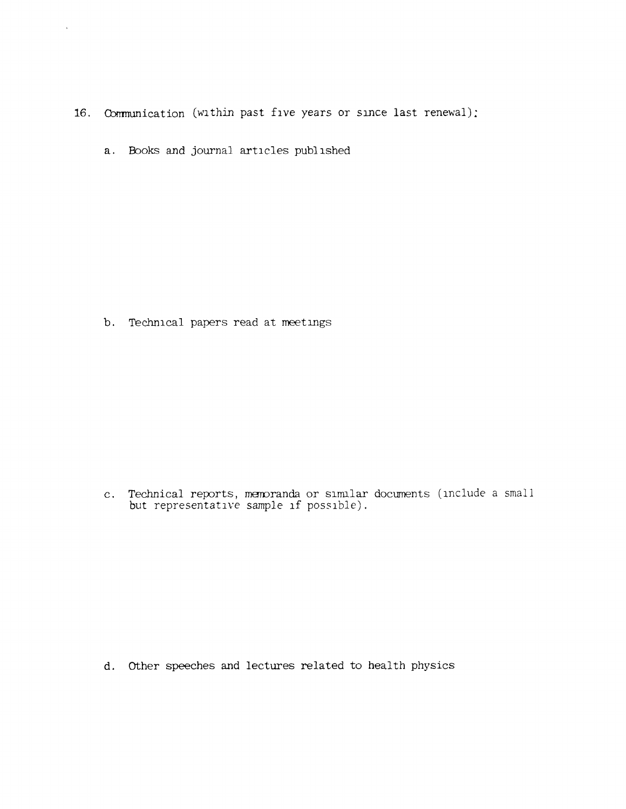- 16. Communication (within past five years or since last renewal);
	- a. Books and journal articles published

 $\bar{\lambda}$ 

b. Technical papers read at meetings

c. Technical reports, memoranda or similar documents (include a small but representative sample if possible).

d. Other speeches and lectures related to health physics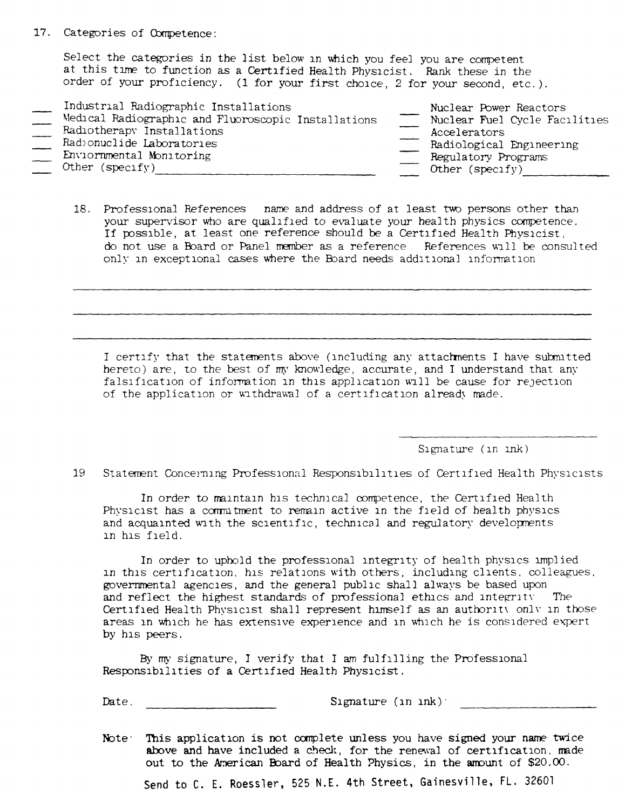## 17. Categories of Competence:

Select the categories in the list below in which you feel you are competent at this time to function as a Certified Health Physicist. Rank these in the order of your proficiency. (1 for your first choice, 2 for your second, etc.).

| Industrial Radiographic Installations               | Nuclear Power Reactors        |
|-----------------------------------------------------|-------------------------------|
| Medical Radiographic and Fluoroscopic Installations | Nuclear Fuel Cycle Facilities |
| Radiotherapy Installations                          | Accelerators                  |
| Radionuclide Laboratories                           | Radiological Engineering      |
| Enviornmental Monitoring                            | Regulatory Programs           |
| Other (specify)                                     | Other (specify)               |

18. Professional References name and address of at least two persons other than your supervisor who are qualified to evaluate your health physics competence. If possible, at least one reference should be a Certified Health Physicist, do not use a Board or Panel member as a reference References will be consulted only in exceptional cases where the Board needs additional information

I certify that the statements above (including any attachments I have submitted hereto) are, to the best of my knowledge, accurate, and I understand that any falsification of information in this application will be cause for rejection of the application or withdrawal of a certification already made.

Signature (in ink)

19 Statement Concerning Professional Responsibilities of Certified Health Physicists

In order to maintain his technical competence, the Certified Health Physicist has a commitment to remain active in the field of health physics and acquainted with the scientific, technical and regulatory developments in his field.

In order to uphold the professional integrity of health physics implied in this certification, his relations with others, including clients, colleagues, governmental agencies, and the general public shall always be based upon and reflect the highest standards of professional ethics and integrity The Certified Health Physicist shall represent himself as an authority only in those areas in which he has extensive experience and in which he is considered expert by his peers.

By my signature, I verify that I am fulfilling the Professional Responsibilities of a Certified Health Physicist.

Date.

Signature  $(\text{in } \text{ink})$ .

Note: This application is not complete unless you have signed your name twice above and have included a check, for the renewal of certification, made out to the American Board of Health Physics, in the amount of \$20.00.

Send to C. E. Roessler, 525 N.E. 4th Street, Gainesville, FL. 32601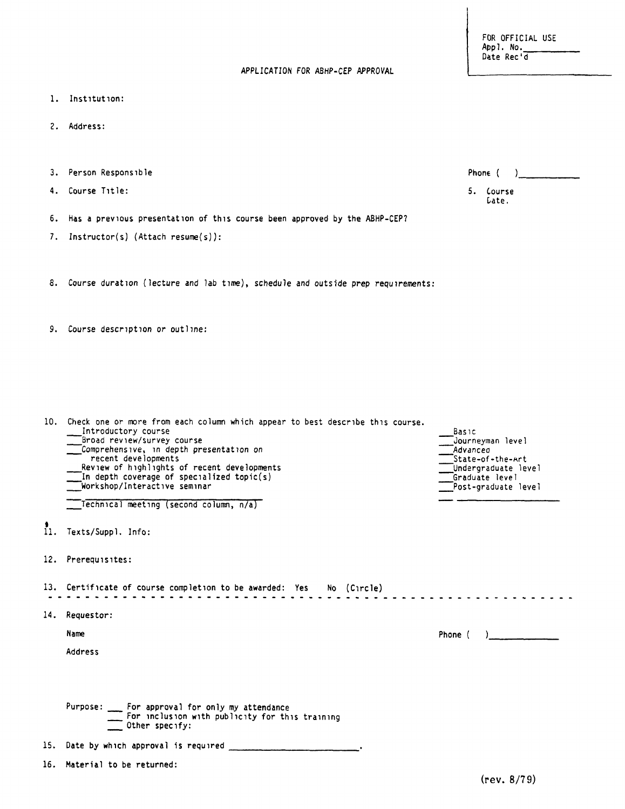| APPLICATION FOR ABHP-CEP APPROVAL |  |  |
|-----------------------------------|--|--|
|                                   |  |  |

- l. Institution:
- 2. Address:
- 3. Person Responsible
- 4. Course Title:
- 6. Has a previous presentation of this course been approved by the ABHP-CEP?
- 7. Instructor(s) (Attach resume{s)):
- 8. Course duration (lecture and lab time), schedule and outside prep requirements:

9. Course description or outline:

| 10. Check one or more from each column which appear to best describe this course.<br>Introductory course<br>Broad review/survey course<br>Comprehensive, in depth presentation on<br>recent developments<br>Review of highlights of recent developments<br>In depth coverage of specialized topic(s)<br>Workshop/Interactive seminar<br>Technical meeting (second column, n/a) | <b>Basic</b><br>Journeyman level<br>Advanced<br>State-of-the-Art<br>Undergraduate level<br>Graduate level<br>Post-graduate level |
|--------------------------------------------------------------------------------------------------------------------------------------------------------------------------------------------------------------------------------------------------------------------------------------------------------------------------------------------------------------------------------|----------------------------------------------------------------------------------------------------------------------------------|
| 11. Texts/Suppl. Info:                                                                                                                                                                                                                                                                                                                                                         |                                                                                                                                  |
| 12. Prerequisites:                                                                                                                                                                                                                                                                                                                                                             |                                                                                                                                  |
| 13. Certificate of course completion to be awarded: Yes No (Circle)                                                                                                                                                                                                                                                                                                            |                                                                                                                                  |
| 14. Requestor:                                                                                                                                                                                                                                                                                                                                                                 |                                                                                                                                  |
| Name                                                                                                                                                                                                                                                                                                                                                                           | Phone (                                                                                                                          |
| Address                                                                                                                                                                                                                                                                                                                                                                        |                                                                                                                                  |
| Purpose: __ For approval for only my attendance<br>For inclusion with publicity for this training                                                                                                                                                                                                                                                                              |                                                                                                                                  |
| Other specify:                                                                                                                                                                                                                                                                                                                                                                 |                                                                                                                                  |
| 15. Date by which approval is required                                                                                                                                                                                                                                                                                                                                         |                                                                                                                                  |

FOR OFFICIAL USE<br>Appl. No. Date Rec'd

|    | Phone (         |  |
|----|-----------------|--|
| 5. | Course<br>Cate. |  |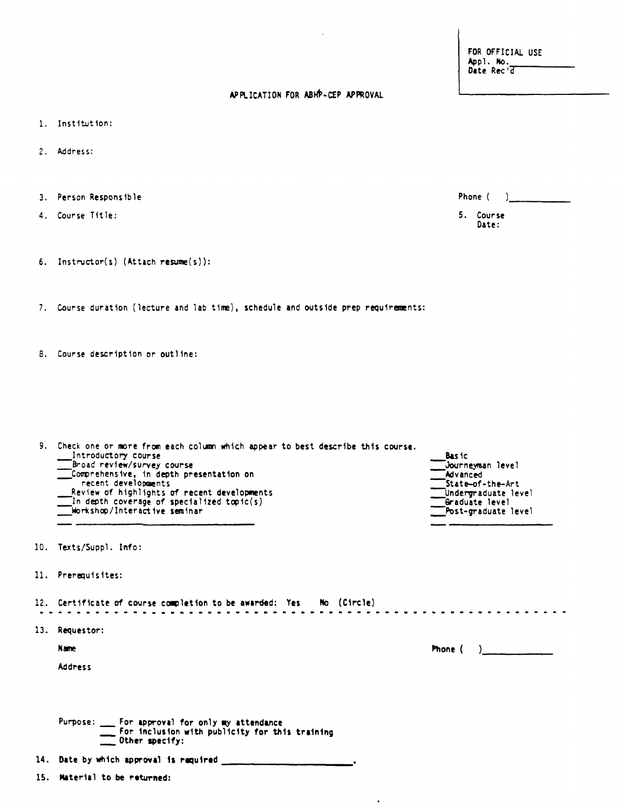FOR OFFICIAL USE Appl. No.

Phone ( )

5. Course Date:

## APPLICATION FOR ABHP-CEP APPROVAL

- 1. Institution:
- 2. Address:
- 3. Person Responsible
- 4. Course Title:
- 6. Instructor(s) (Attach resume(s)):

7. Course duration (lecture and lab time), schedule and outside prep requirements:

8. Course description or outline:

| 9. Check one or more from each column which appear to best describe this course.<br>Introductory course<br>Broad review/survey course<br>Comprehensive, in depth presentation on<br>recent developments<br>Review of highlights of recent developments<br>$\blacksquare$ In depth coverage of specialized topic(s)<br>workshop/Interactive seminar | <b>Basic</b><br><b>Wourneyman level_</b><br>Advanced<br>State-of-the-Art<br>Undergraduate level<br>Graduate level<br>Post-graduate level |
|----------------------------------------------------------------------------------------------------------------------------------------------------------------------------------------------------------------------------------------------------------------------------------------------------------------------------------------------------|------------------------------------------------------------------------------------------------------------------------------------------|
|                                                                                                                                                                                                                                                                                                                                                    |                                                                                                                                          |

- 10. Texts/Suppl. Info:
- 11. Prerequisites:

12. Certificate of course completion to be awarded: Yes No (Circle) . . . . . . . . . . . . . . . . 13. Requestor:

 $\bullet$ 

 $\mathcal{L}^{\mathcal{L}}$ 

**Address** 

| Purpose: | For approval for only my attendance            |  |
|----------|------------------------------------------------|--|
|          | For inclusion with publicity for this training |  |
|          | Other specify:                                 |  |

14. Date by which approval is required \_\_\_\_\_\_\_\_\_\_

15. Material to be returned: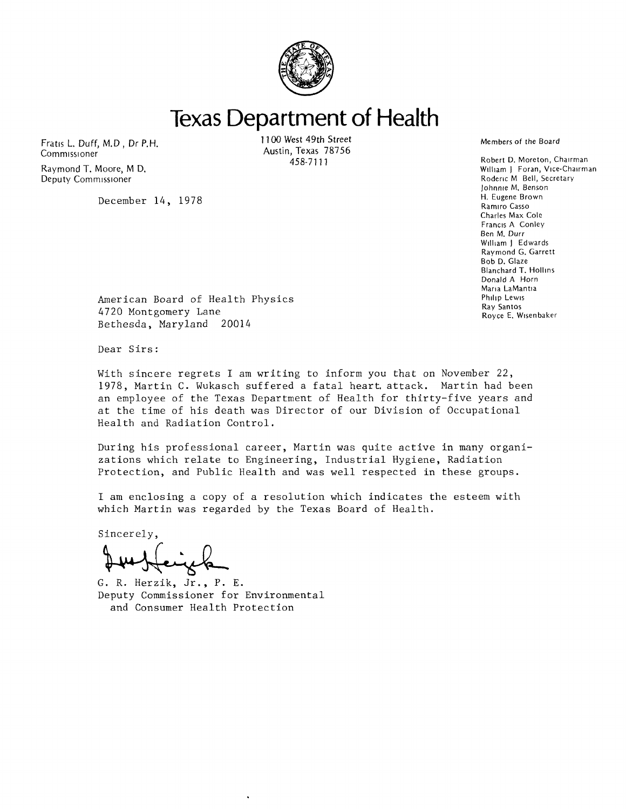

**Texas Department of Health** 

Fratis L. Duff, M.D., Dr P.H. **Commissioner** 

Raymond T. Moore, M D. Deputy Commissioner

December 14, 1978

1100 West 49th Street Austin, Texas 78756 458-7111

Robert D. Moreton, Chairman William J. Foran, Vice-Chairman. Roderic M Bell, Secretary Johnnie M, Benson H. Eugene Brown Ramiro Casso Charles Max Cole Francis A Conley Ben M. Durr William J Edwards Raymond G. Garrett Bob D. Glaze Blanchard T. Hollins Donald A Horn Maria LaMant1a Philip Lewis

Ray Santos Royce E. Wisenbaker

American Board of Health Physics 4720 Montgomery Lane Bethesda, Maryland 20014

Dear Sirs:

With sincere regrets I am writing to inform you that on November 22, 1978, Martin C. Wukasch suffered a fatal hearL attack. Martin had been an employee of the Texas Department of Health for thirty-five years and at the time of his death was Director of our Division of Occupational Health and Radiation Control.

During his professional career, Martin was quite active in many organizations which relate to Engineering, Industrial Hygiene, Radiation Protection, and Public Health and was well respected in these groups.

I am enclosing a copy of a resolution which indicates the esteem with which Martin was regarded by the Texas Board of Health.

Sincerely,

G. R. Herzik, Jr., P. E. Deputy Commissioner for Environmental and Consumer Health Protection

Members of the Board